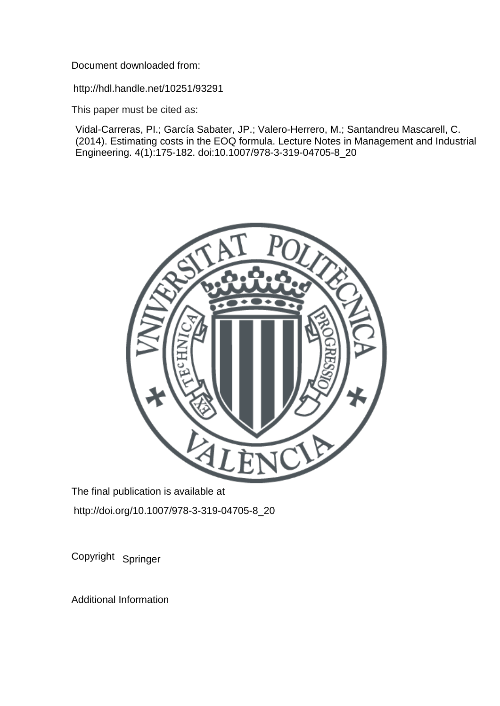Document downloaded from:

http://hdl.handle.net/10251/93291

This paper must be cited as:

Vidal-Carreras, PI.; García Sabater, JP.; Valero-Herrero, M.; Santandreu Mascarell, C. (2014). Estimating costs in the EOQ formula. Lecture Notes in Management and Industrial Engineering. 4(1):175-182. doi:10.1007/978-3-319-04705-8\_20



The final publication is available at http://doi.org/10.1007/978-3-319-04705-8\_20

Copyright Springer

Additional Information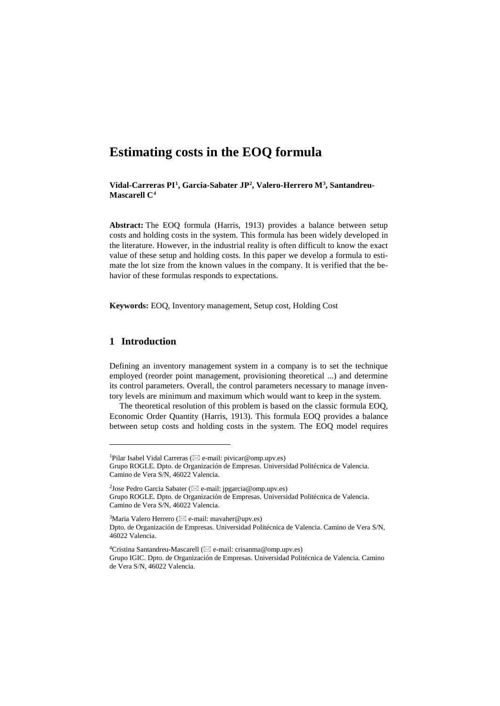# **Estimating costs in the EOQ formula**

**Vidal-Carreras PI[1](#page-1-0), Garcia-Sabater JP[2](#page-1-1), Valero-Herrero M[3,](#page-1-2) Santandreu-Mascarell C[4](#page-1-3)**

**Abstract:** The EOQ formula (Harris, 1913) provides a balance between setup costs and holding costs in the system. This formula has been widely developed in the literature. However, in the industrial reality is often difficult to know the exact value of these setup and holding costs. In this paper we develop a formula to estimate the lot size from the known values in the company. It is verified that the behavior of these formulas responds to expectations.

**Keywords:** EOQ, Inventory management, Setup cost, Holding Cost

# **1 Introduction**

-

Defining an inventory management system in a company is to set the technique employed (reorder point management, provisioning theoretical ...) and determine its control parameters. Overall, the control parameters necessary to manage inventory levels are minimum and maximum which would want to keep in the system.

The theoretical resolution of this problem is based on the classic formula EOQ, Economic Order Quantity (Harris, 1913). This formula EOQ provides a balance between setup costs and holding costs in the system. The EOQ model requires

<span id="page-1-0"></span><sup>&</sup>lt;sup>1</sup>Pilar Isabel Vidal Carreras ( $\boxtimes$  e-mail[: pivicar@omp.upv.es\)](mailto:pivicar@omp.upv.es)

Grupo ROGLE. Dpto. de Organización de Empresas. Universidad Politécnica de Valencia. Camino de Vera S/N, 46022 Valencia.

<span id="page-1-1"></span><sup>&</sup>lt;sup>2</sup>Jose Pedro Garcia Sabater ( $\boxtimes$  e-mail[: jpgarcia@omp.upv.es\)](mailto:pivicar@omp.upv.es) Grupo ROGLE. Dpto. de Organización de Empresas. Universidad Politécnica de Valencia. Camino de Vera S/N, 46022 Valencia.

<span id="page-1-2"></span><sup>&</sup>lt;sup>3</sup>Maria Valero Herrero ( $\boxtimes$  e-mail[: mavaher@upv.es\)](mailto:mavaher@upv.es) Dpto. de Organización de Empresas. Universidad Politécnica de Valencia. Camino de Vera S/N, 46022 Valencia.

<span id="page-1-3"></span><sup>&</sup>lt;sup>4</sup>Cristina Santandreu-Mascarell ( $\boxtimes$  e-mail: [crisanma@omp.upv.es\)](mailto:crisanma@omp.upv.es) Grupo IGIC. Dpto. de Organización de Empresas. Universidad Politécnica de Valencia. Camino de Vera S/N, 46022 Valencia.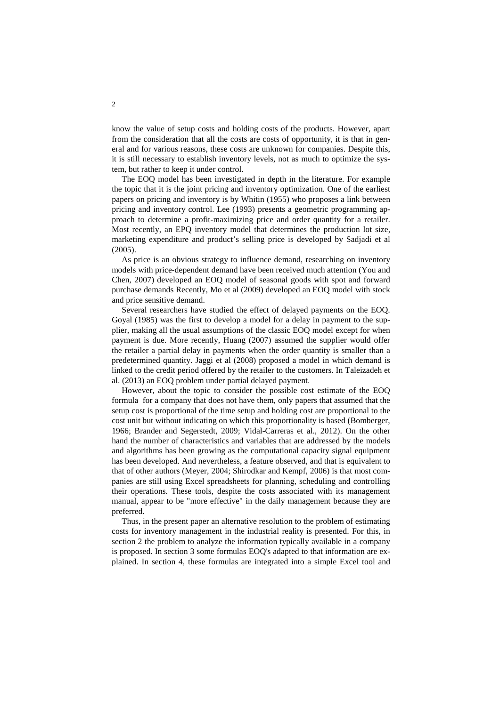know the value of setup costs and holding costs of the products. However, apart from the consideration that all the costs are costs of opportunity, it is that in general and for various reasons, these costs are unknown for companies. Despite this, it is still necessary to establish inventory levels, not as much to optimize the system, but rather to keep it under control.

The EOQ model has been investigated in depth in the literature. For example the topic that it is the joint pricing and inventory optimization. One of the earliest papers on pricing and inventory is by Whitin (1955) who proposes a link between pricing and inventory control. Lee (1993) presents a geometric programming approach to determine a profit-maximizing price and order quantity for a retailer. Most recently, an EPQ inventory model that determines the production lot size, marketing expenditure and product's selling price is developed by Sadjadi et al (2005).

As price is an obvious strategy to influence demand, researching on inventory models with price-dependent demand have been received much attention (You and Chen, 2007) developed an EOQ model of seasonal goods with spot and forward purchase demands Recently, Mo et al (2009) developed an EOQ model with stock and price sensitive demand.

Several researchers have studied the effect of delayed payments on the EOQ. Goyal (1985) was the first to develop a model for a delay in payment to the supplier, making all the usual assumptions of the classic EOQ model except for when payment is due. More recently, Huang (2007) assumed the supplier would offer the retailer a partial delay in payments when the order quantity is smaller than a predetermined quantity. Jaggi et al (2008) proposed a model in which demand is linked to the credit period offered by the retailer to the customers. In Taleizadeh et al. (2013) an EOQ problem under partial delayed payment.

However, about the topic to consider the possible cost estimate of the EOQ formula for a company that does not have them, only papers that assumed that the setup cost is proportional of the time setup and holding cost are proportional to the cost unit but without indicating on which this proportionality is based (Bomberger, 1966; Brander and Segerstedt, 2009; Vidal-Carreras et al., 2012). On the other hand the number of characteristics and variables that are addressed by the models and algorithms has been growing as the computational capacity signal equipment has been developed. And nevertheless, a feature observed, and that is equivalent to that of other authors (Meyer, 2004; Shirodkar and Kempf, 2006) is that most companies are still using Excel spreadsheets for planning, scheduling and controlling their operations. These tools, despite the costs associated with its management manual, appear to be "more effective" in the daily management because they are preferred.

Thus, in the present paper an alternative resolution to the problem of estimating costs for inventory management in the industrial reality is presented. For this, in section 2 the problem to analyze the information typically available in a company is proposed. In section 3 some formulas EOQ's adapted to that information are explained. In section 4, these formulas are integrated into a simple Excel tool and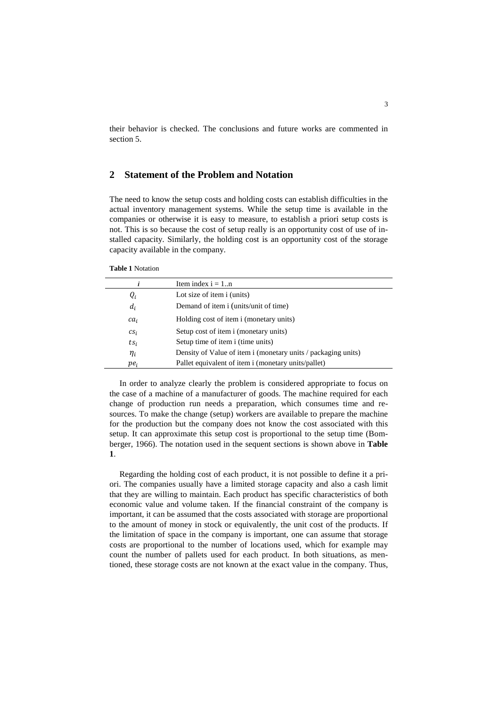their behavior is checked. The conclusions and future works are commented in section 5.

# **2 Statement of the Problem and Notation**

The need to know the setup costs and holding costs can establish difficulties in the actual inventory management systems. While the setup time is available in the companies or otherwise it is easy to measure, to establish a priori setup costs is not. This is so because the cost of setup really is an opportunity cost of use of installed capacity. Similarly, the holding cost is an opportunity cost of the storage capacity available in the company.

|  | <b>Table 1 Notation</b> |
|--|-------------------------|
|--|-------------------------|

|          | Item index $i = 1n$                                           |
|----------|---------------------------------------------------------------|
| $Q_i$    | Lot size of item i (units)                                    |
| $d_i$    | Demand of item i (units/unit of time)                         |
| $ca_i$   | Holding cost of item i (monetary units)                       |
| $CS_i$   | Setup cost of item i (monetary units)                         |
| $ts_i$   | Setup time of item i (time units)                             |
| $\eta_i$ | Density of Value of item i (monetary units / packaging units) |
| $pe_i$   | Pallet equivalent of item i (monetary units/pallet)           |
|          |                                                               |

In order to analyze clearly the problem is considered appropriate to focus on the case of a machine of a manufacturer of goods. The machine required for each change of production run needs a preparation, which consumes time and resources. To make the change (setup) workers are available to prepare the machine for the production but the company does not know the cost associated with this setup. It can approximate this setup cost is proportional to the setup time (Bomberger, 1966). The notation used in the sequent sections is shown above in **Table 1**.

Regarding the holding cost of each product, it is not possible to define it a priori. The companies usually have a limited storage capacity and also a cash limit that they are willing to maintain. Each product has specific characteristics of both economic value and volume taken. If the financial constraint of the company is important, it can be assumed that the costs associated with storage are proportional to the amount of money in stock or equivalently, the unit cost of the products. If the limitation of space in the company is important, one can assume that storage costs are proportional to the number of locations used, which for example may count the number of pallets used for each product. In both situations, as mentioned, these storage costs are not known at the exact value in the company. Thus,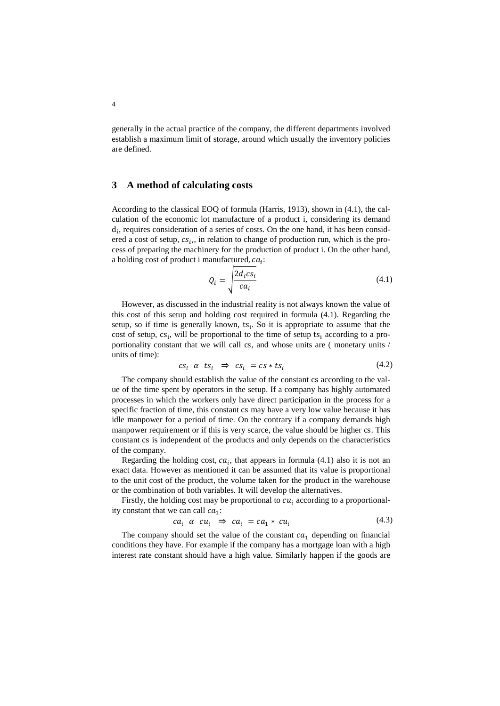generally in the actual practice of the company, the different departments involved establish a maximum limit of storage, around which usually the inventory policies are defined.

#### **3 A method of calculating costs**

According to the classical EOQ of formula (Harris, 1913), shown in (4.1), the calculation of the economic lot manufacture of a product i, considering its demand  $d_i$ , requires consideration of a series of costs. On the one hand, it has been considered a cost of setup,  $cs_i$ , in relation to change of production run, which is the process of preparing the machinery for the production of product i. On the other hand, a holding cost of product i manufactured,  $ca_i$ :

$$
Q_i = \sqrt{\frac{2d_i cs_i}{ca_i}} \tag{4.1}
$$

However, as discussed in the industrial reality is not always known the value of this cost of this setup and holding cost required in formula (4.1). Regarding the setup, so if time is generally known,  $ts_i$ . So it is appropriate to assume that the cost of setup,  $cs_i$ , will be proportional to the time of setup  $ts_i$  according to a proportionality constant that we will call cs, and whose units are ( monetary units / units of time):

$$
cs_i \ \alpha \ ts_i \ \Rightarrow \ cs_i = cs * ts_i \tag{4.2}
$$

The company should establish the value of the constant cs according to the value of the time spent by operators in the setup. If a company has highly automated processes in which the workers only have direct participation in the process for a specific fraction of time, this constant cs may have a very low value because it has idle manpower for a period of time. On the contrary if a company demands high manpower requirement or if this is very scarce, the value should be higher cs. This constant cs is independent of the products and only depends on the characteristics of the company.

Regarding the holding cost,  $ca_i$ , that appears in formula (4.1) also it is not an exact data. However as mentioned it can be assumed that its value is proportional to the unit cost of the product, the volume taken for the product in the warehouse or the combination of both variables. It will develop the alternatives.

Firstly, the holding cost may be proportional to  $cu_i$  according to a proportionality constant that we can call  $ca_1$ :

$$
ca_i \alpha cu_i \Rightarrow ca_i = ca_1 * cu_i \tag{4.3}
$$

The company should set the value of the constant  $ca_1$  depending on financial conditions they have. For example if the company has a mortgage loan with a high interest rate constant should have a high value. Similarly happen if the goods are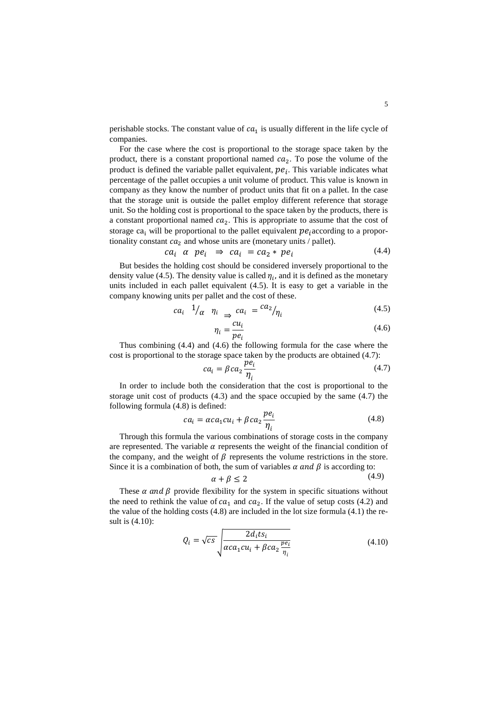perishable stocks. The constant value of  $ca<sub>1</sub>$  is usually different in the life cycle of companies.

For the case where the cost is proportional to the storage space taken by the product, there is a constant proportional named  $ca_2$ . To pose the volume of the product is defined the variable pallet equivalent,  $pe_i$ . This variable indicates what percentage of the pallet occupies a unit volume of product. This value is known in company as they know the number of product units that fit on a pallet. In the case that the storage unit is outside the pallet employ different reference that storage unit. So the holding cost is proportional to the space taken by the products, there is a constant proportional named  $ca_2$ . This is appropriate to assume that the cost of storage ca<sub>i</sub> will be proportional to the pallet equivalent  $pe_i$  according to a proportionality constant  $ca_2$  and whose units are (monetary units / pallet).

$$
ca_i \alpha \neq e_i \Rightarrow ca_i = ca_2 \ast pe_i \tag{4.4}
$$

But besides the holding cost should be considered inversely proportional to the density value (4.5). The density value is called  $\eta_i$ , and it is defined as the monetary units included in each pallet equivalent (4.5). It is easy to get a variable in the company knowing units per pallet and the cost of these.

$$
ca_i \t 1/_{\alpha} \t \eta_i \t \t \Rightarrow \t ca_i = \t c a_2/_{\eta_i}
$$
\t(4.5)

$$
\eta_i = \frac{cu_i}{pe_i} \tag{4.6}
$$

Thus combining (4.4) and (4.6) the following formula for the case where the cost is proportional to the storage space taken by the products are obtained (4.7):

$$
ca_i = \beta ca_2 \frac{pe_i}{\eta_i} \tag{4.7}
$$

In order to include both the consideration that the cost is proportional to the storage unit cost of products (4.3) and the space occupied by the same (4.7) the following formula (4.8) is defined:

$$
ca_i = \alpha ca_1 cu_i + \beta ca_2 \frac{pe_i}{\eta_i} \tag{4.8}
$$

Through this formula the various combinations of storage costs in the company are represented. The variable  $\alpha$  represents the weight of the financial condition of the company, and the weight of  $\beta$  represents the volume restrictions in the store. Since it is a combination of both, the sum of variables  $\alpha$  and  $\beta$  is according to:

$$
\alpha + \beta \le 2 \tag{4.9}
$$

These  $\alpha$  and  $\beta$  provide flexibility for the system in specific situations without the need to rethink the value of  $ca_1$  and  $ca_2$ . If the value of setup costs (4.2) and the value of the holding costs (4.8) are included in the lot size formula (4.1) the result is (4.10):

$$
Q_i = \sqrt{cs} \sqrt{\frac{2d_i ts_i}{\alpha c a_1 c u_i + \beta c a_2 \frac{pe_i}{\eta_i}}}
$$
(4.10)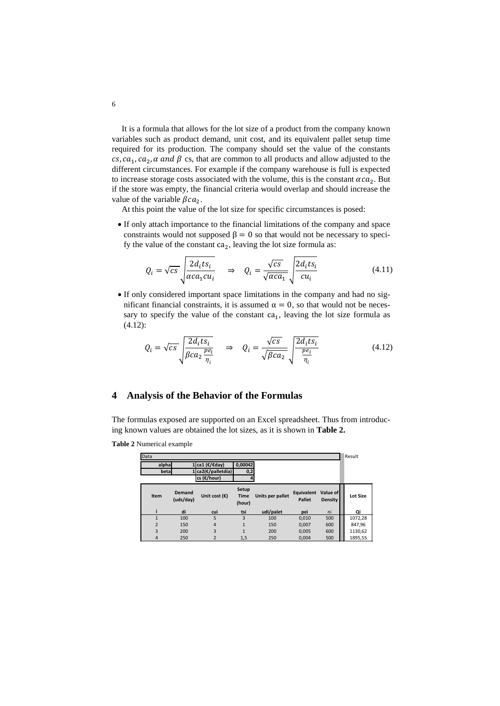It is a formula that allows for the lot size of a product from the company known variables such as product demand, unit cost, and its equivalent pallet setup time required for its production. The company should set the value of the constants  $cs, ca_1, ca_2, \alpha$  and  $\beta$  cs, that are common to all products and allow adjusted to the different circumstances. For example if the company warehouse is full is expected to increase storage costs associated with the volume, this is the constant  $\alpha c a_2$ . But if the store was empty, the financial criteria would overlap and should increase the value of the variable  $\beta c a_2$ .

At this point the value of the lot size for specific circumstances is posed:

• If only attach importance to the financial limitations of the company and space constraints would not supposed  $\beta = 0$  so that would not be necessary to specify the value of the constant  $ca_2$ , leaving the lot size formula as:

$$
Q_i = \sqrt{cs} \sqrt{\frac{2d_i ts_i}{\alpha c a_1 c u_i}} \quad \Rightarrow \quad Q_i = \frac{\sqrt{cs}}{\sqrt{\alpha c a_1}} \sqrt{\frac{2d_i ts_i}{c u_i}} \tag{4.11}
$$

• If only considered important space limitations in the company and had no significant financial constraints, it is assumed  $α = 0$ , so that would not be necessary to specify the value of the constant  $ca<sub>1</sub>$ , leaving the lot size formula as (4.12):

$$
Q_i = \sqrt{cs} \sqrt{\frac{2d_i ts_i}{\beta c a_2 \frac{pe_i}{\eta_i}}} \quad \Rightarrow \quad Q_i = \frac{\sqrt{cs}}{\sqrt{\beta c a_2}} \sqrt{\frac{2d_i ts_i}{\frac{pe_i}{\eta_i}}} \tag{4.12}
$$

## **4 Analysis of the Behavior of the Formulas**

The formulas exposed are supported on an Excel spreadsheet. Thus from introducing known values are obtained the lot sizes, as it is shown in **Table 2.**

**Table 2** Numerical example

| Data           |                            |                        |                                |                  |                             |                            | Result          |
|----------------|----------------------------|------------------------|--------------------------------|------------------|-----------------------------|----------------------------|-----------------|
| alpha          |                            | . ca1 (€/€day)         | 0.00042                        |                  |                             |                            |                 |
| betal          |                            | ca2(€/palletdía)       | 0,2                            |                  |                             |                            |                 |
|                |                            | cs (€/hour)            |                                |                  |                             |                            |                 |
| Item           | <b>Demand</b><br>(uds/day) | Unit cost $(\epsilon)$ | Setup<br><b>Time</b><br>(hour) | Units per pallet | Equivalent<br><b>Pallet</b> | Value of<br><b>Density</b> | <b>Lot Size</b> |
|                | di                         | cui                    | tsi                            | udi/palet        | pei                         | ni                         | Qi              |
|                | 100                        | 5                      | 3                              | 100              | 0,010                       | 500                        | 1072,28         |
| $\overline{2}$ | 150                        | $\overline{4}$         | 1                              | 150              | 0,007                       | 600                        | 847,96          |
| 3              | 200                        | 3                      | 1                              | 200              | 0.005                       | 600                        | 1130,62         |
| 4              | 250                        | 2                      | 1,5                            | 250              | 0.004                       | 500                        | 1895,55         |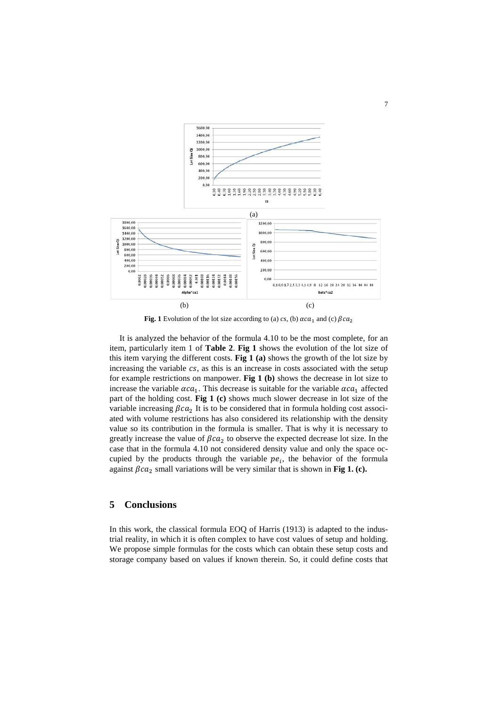

**Fig. 1** Evolution of the lot size according to (a) *cs*, (b)  $\alpha ca_1$  and (c)  $\beta ca_2$ 

It is analyzed the behavior of the formula 4.10 to be the most complete, for an item, particularly item 1 of **Table 2**. **Fig 1** shows the evolution of the lot size of this item varying the different costs. **Fig 1 (a)** shows the growth of the lot size by increasing the variable  $cs$ , as this is an increase in costs associated with the setup for example restrictions on manpower. **Fig 1 (b)** shows the decrease in lot size to increase the variable  $\alpha c a_1$ . This decrease is suitable for the variable  $\alpha c a_1$  affected part of the holding cost. **Fig 1 (c)** shows much slower decrease in lot size of the variable increasing  $\beta c a_2$  It is to be considered that in formula holding cost associated with volume restrictions has also considered its relationship with the density value so its contribution in the formula is smaller. That is why it is necessary to greatly increase the value of  $\beta ca_2$  to observe the expected decrease lot size. In the case that in the formula 4.10 not considered density value and only the space occupied by the products through the variable  $pe_i$ , the behavior of the formula against  $\beta c a_2$  small variations will be very similar that is shown in **Fig 1. (c).** 

## **5 Conclusions**

In this work, the classical formula EOQ of Harris (1913) is adapted to the industrial reality, in which it is often complex to have cost values of setup and holding. We propose simple formulas for the costs which can obtain these setup costs and storage company based on values if known therein. So, it could define costs that